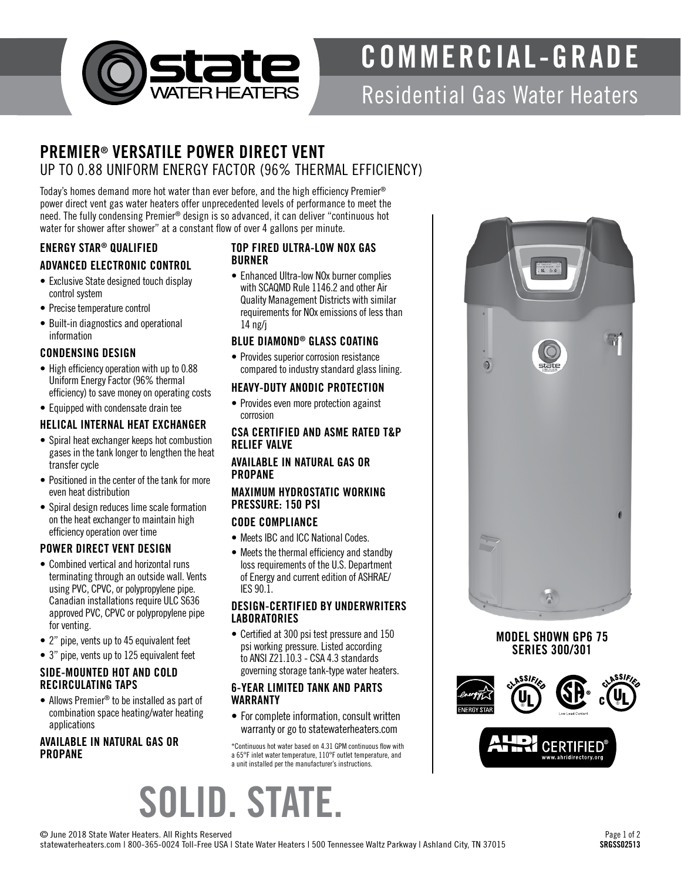

# COMMERCIAL-GRADE

## Residential Gas Water Heaters

### PREMIER® VERSATILE POWER DIRECT VENT UP TO 0.88 UNIFORM ENERGY FACTOR (96% THERMAL EFFICIENCY)

Today's homes demand more hot water than ever before, and the high efficiency Premier® power direct vent gas water heaters offer unprecedented levels of performance to meet the need. The fully condensing Premier® design is so advanced, it can deliver "continuous hot water for shower after shower" at a constant flow of over 4 gallons per minute.

#### ENERGY STAR® QUALIFIED ADVANCED ELECTRONIC CONTROL

- Exclusive State designed touch display control system
- Precise temperature control
- Built-in diagnostics and operational information

#### CONDENSING DESIGN

- High efficiency operation with up to 0.88 Uniform Energy Factor (96% thermal efficiency) to save money on operating costs
- Equipped with condensate drain tee

#### HELICAL INTERNAL HEAT EXCHANGER

- Spiral heat exchanger keeps hot combustion gases in the tank longer to lengthen the heat transfer cycle
- Positioned in the center of the tank for more even heat distribution
- Spiral design reduces lime scale formation on the heat exchanger to maintain high efficiency operation over time

#### POWER DIRECT VENT DESIGN

- Combined vertical and horizontal runs terminating through an outside wall. Vents using PVC, CPVC, or polypropylene pipe. Canadian installations require ULC S636 approved PVC, CPVC or polypropylene pipe for venting.
- 2" pipe, vents up to 45 equivalent feet
- 3" pipe, vents up to 125 equivalent feet

#### SIDE-MOUNTED HOT AND COLD RECIRCULATING TAPS

• Allows Premier® to be installed as part of combination space heating/water heating applications

#### AVAILABLE IN NATURAL GAS OR PROPANE

#### TOP FIRED ULTRA-LOW NOX GAS BURNER

• Enhanced Ultra-low NOx burner complies with SCAQMD Rule 1146.2 and other Air Quality Management Districts with similar requirements for NOx emissions of less than 14 ng/j

#### BLUE DIAMOND® GLASS COATING

• Provides superior corrosion resistance compared to industry standard glass lining.

#### HEAVY-DUTY ANODIC PROTECTION

• Provides even more protection against corrosion

#### CSA CERTIFIED AND ASME RATED T&P RELIEF VALVE

#### AVAILABLE IN NATURAL GAS OR PROPANE

#### MAXIMUM HYDROSTATIC WORKING PRESSURE: 150 PSI

#### CODE COMPLIANCE

- Meets IBC and ICC National Codes.
- Meets the thermal efficiency and standby loss requirements of the U.S. Department of Energy and current edition of ASHRAE/ IES 90.1.

#### DESIGN-CERTIFIED BY UNDERWRITERS **LABORATORIES**

• Certified at 300 psi test pressure and 150 psi working pressure. Listed according to ANSI Z21.10.3 - CSA 4.3 standards governing storage tank-type water heaters.

#### 6-YEAR LIMITED TANK AND PARTS WARRANTY

• For complete information, consult written warranty or go to statewaterheaters.com

\*Continuous hot water based on 4.31 GPM continuous flow with a 65°F inlet water temperature, 110°F outlet temperature, and a unit installed per the manufacturer's instructions.

# $\circ$  $\bullet$

#### MODEL SHOWN GP6 75 SERIES 300/301



SOLID. STATE.